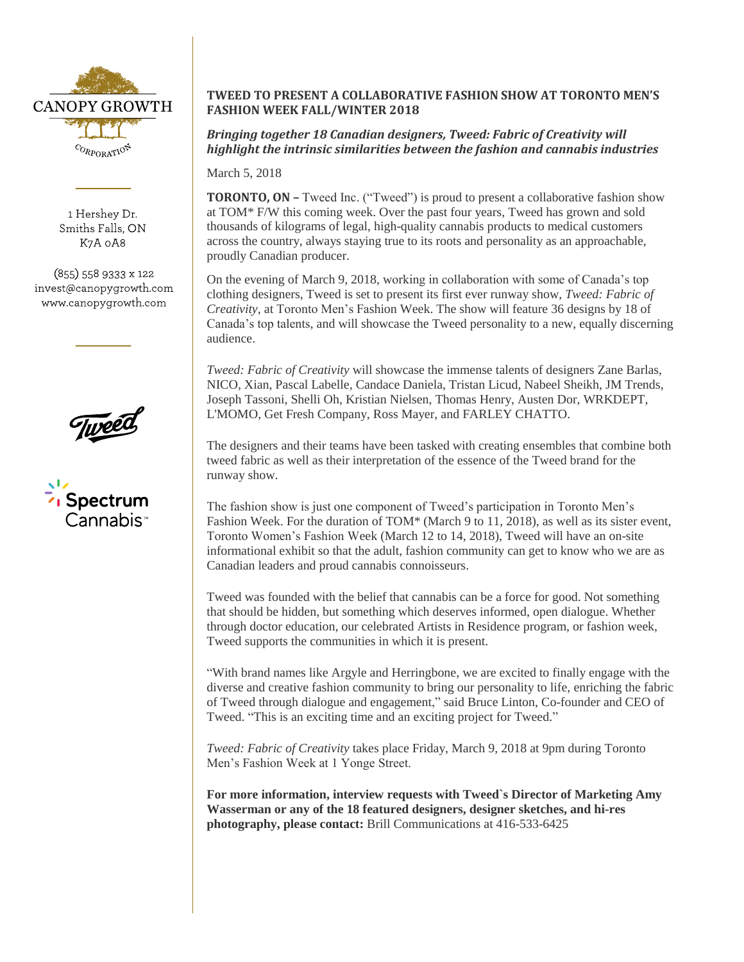

1 Hershey Dr. Smiths Falls, ON K7A 0A8

(855) 558 9333 x 122 invest@canopygrowth.com www.canopygrowth.com





## **TWEED TO PRESENT A COLLABORATIVE FASHION SHOW AT TORONTO MEN'S FASHION WEEK FALL/WINTER 2018**

*Bringing together 18 Canadian designers, Tweed: Fabric of Creativity will highlight the intrinsic similarities between the fashion and cannabis industries*

March 5, 2018

**TORONTO, ON –** Tweed Inc. ("Tweed") is proud to present a collaborative fashion show at TOM\* F/W this coming week. Over the past four years, Tweed has grown and sold thousands of kilograms of legal, high-quality cannabis products to medical customers across the country, always staying true to its roots and personality as an approachable, proudly Canadian producer.

On the evening of March 9, 2018, working in collaboration with some of Canada's top clothing designers, Tweed is set to present its first ever runway show, *Tweed: Fabric of Creativity*, at Toronto Men's Fashion Week. The show will feature 36 designs by 18 of Canada's top talents, and will showcase the Tweed personality to a new, equally discerning audience.

*Tweed: Fabric of Creativity* will showcase the immense talents of designers Zane Barlas, NICO, Xian, Pascal Labelle, Candace Daniela, Tristan Licud, Nabeel Sheikh, JM Trends, Joseph Tassoni, Shelli Oh, Kristian Nielsen, Thomas Henry, Austen Dor, WRKDEPT, L'MOMO, Get Fresh Company, Ross Mayer, and FARLEY CHATTO.

The designers and their teams have been tasked with creating ensembles that combine both tweed fabric as well as their interpretation of the essence of the Tweed brand for the runway show.

The fashion show is just one component of Tweed's participation in Toronto Men's Fashion Week. For the duration of TOM\* (March 9 to 11, 2018), as well as its sister event, Toronto Women's Fashion Week (March 12 to 14, 2018), Tweed will have an on-site informational exhibit so that the adult, fashion community can get to know who we are as Canadian leaders and proud cannabis connoisseurs.

Tweed was founded with the belief that cannabis can be a force for good. Not something that should be hidden, but something which deserves informed, open dialogue. Whether through doctor education, our celebrated Artists in Residence program, or fashion week, Tweed supports the communities in which it is present.

"With brand names like Argyle and Herringbone, we are excited to finally engage with the diverse and creative fashion community to bring our personality to life, enriching the fabric of Tweed through dialogue and engagement," said Bruce Linton, Co-founder and CEO of Tweed. "This is an exciting time and an exciting project for Tweed."

*Tweed: Fabric of Creativity* takes place Friday, March 9, 2018 at 9pm during Toronto Men's Fashion Week at 1 Yonge Street.

**For more information, interview requests with Tweed`s Director of Marketing Amy Wasserman or any of the 18 featured designers, designer sketches, and hi-res photography, please contact:** Brill Communications at 416-533-6425